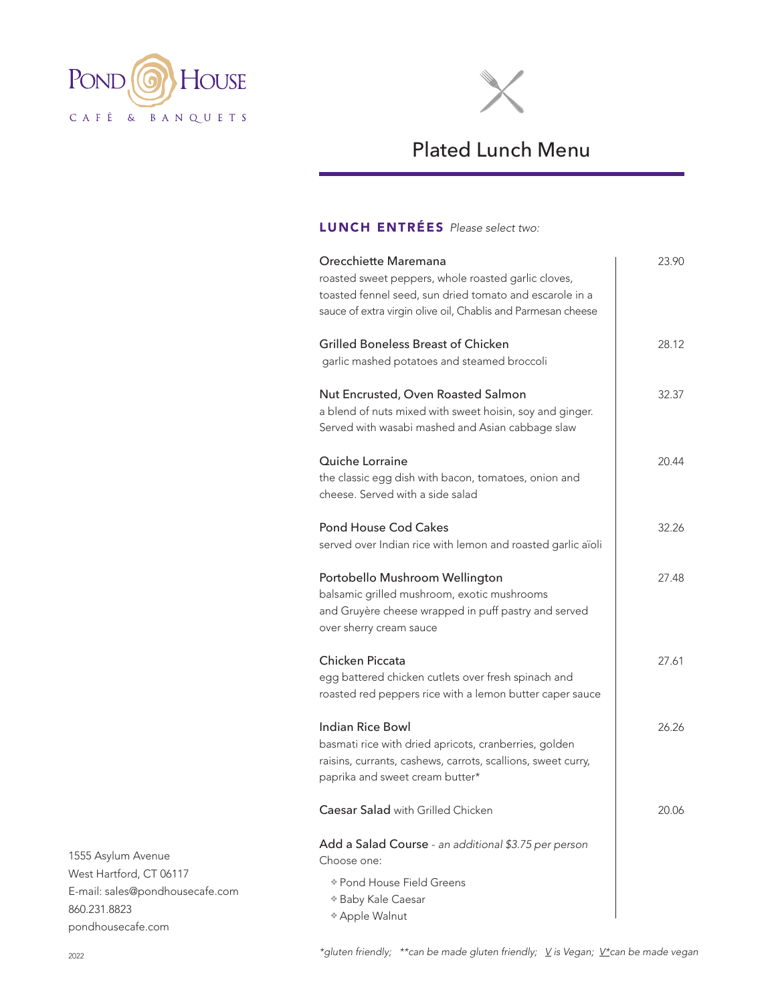



## Plated Lunch Menu

## LUNCH ENTRÉES *Please select two:*

| Orecchiette Maremana<br>roasted sweet peppers, whole roasted garlic cloves,<br>toasted fennel seed, sun dried tomato and escarole in a<br>sauce of extra virgin olive oil, Chablis and Parmesan cheese | 23.90 |
|--------------------------------------------------------------------------------------------------------------------------------------------------------------------------------------------------------|-------|
| <b>Grilled Boneless Breast of Chicken</b><br>garlic mashed potatoes and steamed broccoli                                                                                                               | 28.12 |
| Nut Encrusted, Oven Roasted Salmon<br>a blend of nuts mixed with sweet hoisin, soy and ginger.<br>Served with wasabi mashed and Asian cabbage slaw                                                     | 32.37 |
| Quiche Lorraine<br>the classic egg dish with bacon, tomatoes, onion and<br>cheese. Served with a side salad                                                                                            | 20.44 |
| <b>Pond House Cod Cakes</b><br>served over Indian rice with lemon and roasted garlic aïoli                                                                                                             | 32.26 |
| Portobello Mushroom Wellington<br>balsamic grilled mushroom, exotic mushrooms<br>and Gruyère cheese wrapped in puff pastry and served<br>over sherry cream sauce                                       | 27.48 |
| <b>Chicken Piccata</b><br>egg battered chicken cutlets over fresh spinach and<br>roasted red peppers rice with a lemon butter caper sauce                                                              | 27.61 |
| Indian Rice Bowl<br>basmati rice with dried apricots, cranberries, golden<br>raisins, currants, cashews, carrots, scallions, sweet curry,<br>paprika and sweet cream butter*                           | 26.26 |
| Caesar Salad with Grilled Chicken                                                                                                                                                                      | 20.06 |
| Add a Salad Course - an additional \$3.75 per person<br>Choose one:                                                                                                                                    |       |
| * Pond House Field Greens<br>* Baby Kale Caesar<br>* Apple Walnut                                                                                                                                      |       |

1555 Asylum Avenue West Hartford, CT 06117 E-mail: sales@pondhousecafe.com 860.231.8823 pondhousecafe.com